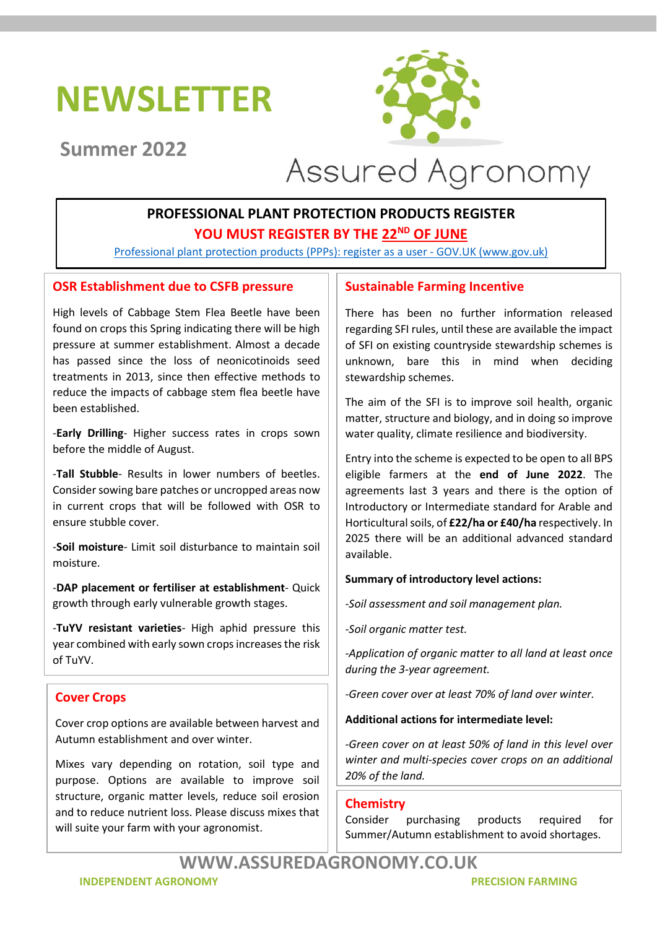# NEWSLETTER



# Summer 2022



# PROFESSIONAL PLANT PROTECTION PRODUCTS REGISTER YOU MUST REGISTER BY THE 22<sup>ND</sup> OF JUNE

Professional plant protection products (PPPs): register as a user - GOV.UK (www.gov.uk)

# OSR Establishment due to CSFB pressure

High levels of Cabbage Stem Flea Beetle have been found on crops this Spring indicating there will be high pressure at summer establishment. Almost a decade has passed since the loss of neonicotinoids seed treatments in 2013, since then effective methods to reduce the impacts of cabbage stem flea beetle have been established.

-Early Drilling- Higher success rates in crops sown before the middle of August.

-Tall Stubble- Results in lower numbers of beetles. Consider sowing bare patches or uncropped areas now in current crops that will be followed with OSR to ensure stubble cover.

-Soil moisture- Limit soil disturbance to maintain soil moisture.

-DAP placement or fertiliser at establishment- Quick growth through early vulnerable growth stages.

-TuYV resistant varieties- High aphid pressure this year combined with early sown crops increases the risk of TuYV.

# Cover Crops

Cover crop options are available between harvest and Autumn establishment and over winter.

Mixes vary depending on rotation, soil type and purpose. Options are available to improve soil structure, organic matter levels, reduce soil erosion and to reduce nutrient loss. Please discuss mixes that will suite your farm with your agronomist.

### Sustainable Farming Incentive

There has been no further information released regarding SFI rules, until these are available the impact of SFI on existing countryside stewardship schemes is unknown, bare this in mind when deciding stewardship schemes.

The aim of the SFI is to improve soil health, organic matter, structure and biology, and in doing so improve water quality, climate resilience and biodiversity.

Entry into the scheme is expected to be open to all BPS eligible farmers at the end of June 2022. The agreements last 3 years and there is the option of Introductory or Intermediate standard for Arable and Horticultural soils, of £22/ha or £40/ha respectively. In 2025 there will be an additional advanced standard available.

#### Summary of introductory level actions:

-Soil assessment and soil management plan.

-Soil organic matter test.

-Application of organic matter to all land at least once during the 3-year agreement.

-Green cover over at least 70% of land over winter.

#### Additional actions for intermediate level:

-Green cover on at least 50% of land in this level over winter and multi-species cover crops on an additional 20% of the land.

#### **Chemistry**

Consider purchasing products required for Summer/Autumn establishment to avoid shortages.